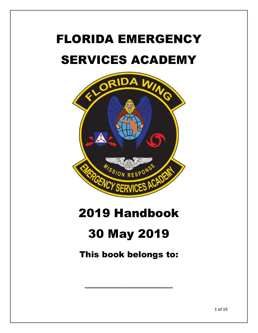# FLORIDA EMERGENCY

## SERVICES ACADEMY



## 2019 Handbook

## 30 May 2019

This book belongs to:

---------------------------------------------------------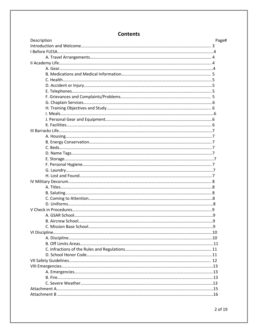| Description | Page# |
|-------------|-------|
|             |       |
|             |       |
|             |       |
|             |       |
|             |       |
|             |       |
|             |       |
|             |       |
|             |       |
|             |       |
|             |       |
|             |       |
|             |       |
|             |       |
|             |       |
|             |       |
|             |       |
|             |       |
|             |       |
|             |       |
|             |       |
|             |       |
|             |       |
|             |       |
|             |       |
|             |       |
|             |       |
|             |       |
|             |       |
|             |       |
|             |       |
|             |       |
|             |       |
|             |       |
|             |       |
|             |       |
|             |       |
|             |       |
|             |       |
|             |       |
|             |       |
|             |       |
|             |       |
|             |       |
|             |       |

## **Contents**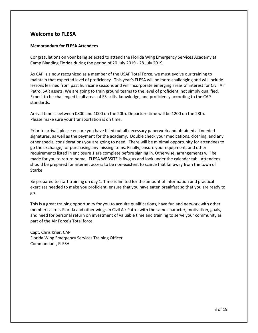## **Welcome to FLESA**

#### **Memorandum for FLESA Attendees**

Congratulations on your being selected to attend the Florida Wing Emergency Services Academy at Camp Blanding Florida during the period of 20 July 2019 - 28 July 2019.

As CAP is a now recognized as a member of the USAF Total Force, we must evolve our training to maintain that expected level of proficiency. This year's FLESA will be more challenging and will include lessons learned from past hurricane seasons and will incorporate emerging areas of interest for Civil Air Patrol SAR assets. We are going to train ground teams to the level of proficient, not simply qualified. Expect to be challenged in all areas of ES skills, knowledge, and proficiency according to the CAP standards.

Arrival time is between 0800 and 1000 on the 20th. Departure time will be 1200 on the 28th. Please make sure your transportation is on time.

Prior to arrival, please ensure you have filled out all necessary paperwork and obtained all needed signatures, as well as the payment for the academy. Double check your medications, clothing, and any other special considerations you are going to need. There will be minimal opportunity for attendees to go the exchange, for purchasing any missing items. Finally, ensure your equipment, and other requirements listed in enclosure 1 are complete before signing in. Otherwise, arrangements will be made for you to return home. FLESA WEBSITE is flwg.us and look under the calendar tab. Attendees should be prepared for internet access to be non-existent to scarce that far away from the town of Starke

Be prepared to start training on day 1. Time is limited for the amount of information and practical exercises needed to make you proficient, ensure that you have eaten breakfast so that you are ready to go.

This is a great training opportunity for you to acquire qualifications, have fun and network with other members across Florida and other wings in Civil Air Patrol with the same character, motivation, goals, and need for personal return on investment of valuable time and training to serve your community as part of the Air Force's Total force.

Capt. Chris Krier, CAP Florida Wing Emergency Services Training Officer Commandant, FLESA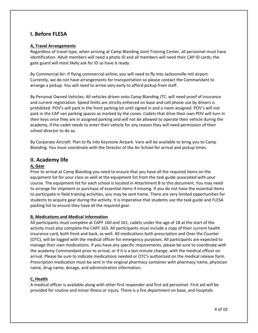## **I. Before FLESA**

#### **A, Travel Arrangements**

Regardless of travel type, when arriving at Camp Blanding Joint Training Center, all personnel must have identification. Adult members will need a photo ID and all members will need their CAP ID cards; the gate guard will most likely ask for ID so have it ready.

By Commercial Air: If flying commercial airline, you will need to fly into Jacksonville Intl airport. Currently, we do not have arrangements for transportation so please contact the Commandant to arrange a pickup. You will need to arrive very early to afford pickup from staff.

By Personal Owned Vehicles: All vehicles driven onto Camp Blanding JTC. will need proof of insurance and current registration. Speed limits are strictly enforced on base and cell phone use by drivers is prohibited. POV's will park in the front parking lot until signed in and a room assigned. POV's will not park in the CAP van parking spaces as marked by the cones. Cadets that drive their own POV will turn in their keys once they are in assigned parking and will not be allowed to operate their vehicle during the academy, if the cadet needs to enter their vehicle for any reason they will need permission of their school director to do so.

By Corporate Aircraft: Plan to fly into Keystone Airpark. Vans will be available to bring you to Camp Blanding. You must coordinate with the Director of the Air School for arrival and pickup times.

#### **II. Academy life**

#### **A, Gear**

Prior to arrival at Camp Blanding you need to ensure that you have all the required items on the equipment list for your class as well at the equipment list from the task guide associated with your course. The equipment list for each school is located in Attachment B to this document. You may need to arrange for shipment or purchase of essential items if missing. If you do not have the essential items to participate in field training activities, you may be sent home. There are very limited opportunities for students to acquire gear during the activity. It is imperative that students use the task guide and FLESA packing list to ensure they have all the required gear.

#### **B, Medications and Medical Information**

All participants must complete at CAPF 160 and 161, cadets under the age of 18 at the start of the activity must also complete the CAPF 163. All participants must include a copy of their current health insurance card, both front and back, as well. All medications both prescription and Over the Counter (OTC), will be logged with the medical officer for emergency purposes. All participants are expected to manage their own medications. If you have any specific requirements, please be sure to coordinate with the academy Commandant prior to arrival, or if it is a last-minute change, with the medical officer on arrival. Please be sure to indicate medications needed or OTC's authorized on the medical release form. Prescription medication must be sent in the original pharmacy container with pharmacy name, physician name, drug name, dosage, and administration information.

#### **C, Health**

A medical officer is available along with other first responder and first aid personnel. First aid will be provided for routine and minor illness or injury. There is a fire department on base, and hospitals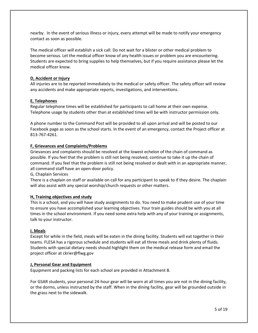nearby. In the event of serious illness or injury, every attempt will be made to notify your emergency contact as soon as possible.

The medical officer will establish a sick call. Do not wait for a blister or other medical problem to become serious. Let the medical officer know of any health issues or problem you are encountering. Students are expected to bring supplies to help themselves, but if you require assistance please let the medical officer know.

#### **D, Accident or Injury**

All injuries are to be reported immediately to the medical or safety officer. The safety officer will review any accidents and make appropriate reports, investigations, and interventions.

#### **E, Telephones**

Regular telephone times will be established for participants to call home at their own expense. Telephone usage by students other than at established times will be with instructor permission only.

A phone number to the Command Post will be provided to all upon arrival and will be posted to our Facebook page as soon as the school starts. In the event of an emergency, contact the Project officer at 813-767-4261.

#### **F, Grievances and Complaints/Problems**

Grievances and complaints should be resolved at the lowest echelon of the chain of command as possible. If you feel that the problem is still not being resolved, continue to take it up the chain of command. If you feel that the problem is still not being resolved or dealt with in an appropriate manner, all command staff have an open-door policy.

G, Chaplain Services

There is a chaplain on staff or available on call for any participant to speak to if they desire. The chaplain will also assist with any special worship/church requests or other matters.

#### **H, Training objectives and study**

This is a school, and you will have study assignments to do. You need to make prudent use of your time to ensure you have accomplished your learning objectives. Your train guides should be with you at all times in the school environment. If you need some extra help with any of your training or assignments, talk to your instructor.

#### **I. Meals**

Except for while in the field, meals will be eaten in the dining facility. Students will eat together in their teams. FLESA has a rigorous schedule and students will eat all three meals and drink plenty of fluids. Students with special dietary needs should highlight them on the medical release form and email the project officer at ckrier@flwg.gov

#### **J, Personal Gear and Equipment**

Equipment and packing lists for each school are provided in Attachment B.

For GSAR students, your personal 24-hour gear will be worn at all times you are not in the dining facility, or the dorms, unless instructed by the staff. When in the dining facility, gear will be grounded outside in the grass next to the sidewalk.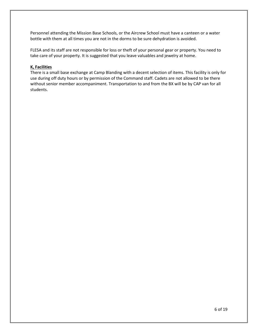Personnel attending the Mission Base Schools, or the Aircrew School must have a canteen or a water bottle with them at all times you are not in the dorms to be sure dehydration is avoided.

FLESA and its staff are not responsible for loss or theft of your personal gear or property. You need to take care of your property. It is suggested that you leave valuables and jewelry at home.

#### **K, Facilities**

There is a small base exchange at Camp Blanding with a decent selection of items. This facility is only for use during off duty hours or by permission of the Command staff. Cadets are not allowed to be there without senior member accompaniment. Transportation to and from the BX will be by CAP van for all students.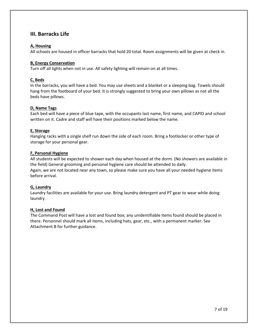## **III. Barracks Life**

#### **A, Housing**

All schools are housed in officer barracks that hold 20 total. Room assignments will be given at check in.

#### **B, Energy Conservation**

Turn off all lights when not in use. All safety lighting will remain on at all times.

#### **C, Beds**

In the barracks, you will have a bed. You may use sheets and a blanket or a sleeping bag. Towels should hang from the footboard of your bed. It is strongly suggested to bring your own pillows as not all the beds have pillows.

#### **D, Name Tags**

Each bed will have a piece of blue tape, with the occupants last name, first name, and CAPID and school written on it. Cadre and staff will have their positions marked below the name.

#### **E, Storage**

Hanging racks with a single shelf run down the side of each room. Bring a footlocker or other type of storage for your personal gear.

#### **F, Personal Hygiene**

All students will be expected to shower each day when housed at the dorm. (No showers are available in the field) General grooming and personal hygiene care should be attended to daily. Again, we are not located near any town, so please make sure you have all your needed hygiene items before arrival.

#### **G, Laundry**

Laundry facilities are available for your use. Bring laundry detergent and PT gear to wear while doing laundry.

#### **H, Lost and Found**

The Command Post will have a lost and found box; any unidentifiable items found should be placed in there. Personnel should mark all items, including hats, gear, etc., with a permanent marker. See Attachment B for further guidance.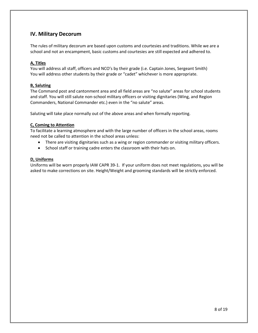## **IV. Military Decorum**

The rules of military decorum are based upon customs and courtesies and traditions. While we are a school and not an encampment, basic customs and courtesies are still expected and adhered to.

#### **A, Titles**

You will address all staff, officers and NCO's by their grade (i.e. Captain Jones, Sergeant Smith) You will address other students by their grade or "cadet" whichever is more appropriate.

#### **B, Saluting**

The Command post and cantonment area and all field areas are "no salute" areas for school students and staff. You will still salute non-school military officers or visiting dignitaries (Wing, and Region Commanders, National Commander etc.) even in the "no salute" areas.

Saluting will take place normally out of the above areas and when formally reporting.

#### **C, Coming to Attention**

To facilitate a learning atmosphere and with the large number of officers in the school areas, rooms need not be called to attention in the school areas unless:

- There are visiting dignitaries such as a wing or region commander or visiting military officers.
- School staff or training cadre enters the classroom with their hats on.

#### **D, Uniforms**

Uniforms will be worn properly IAW CAPR 39-1. If your uniform does not meet regulations, you will be asked to make corrections on site. Height/Weight and grooming standards will be strictly enforced.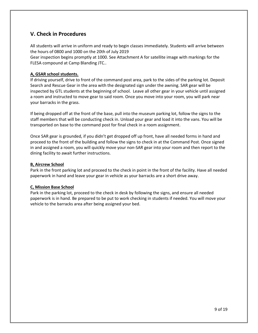## **V. Check in Procedures**

All students will arrive in uniform and ready to begin classes immediately. Students will arrive between the hours of 0800 and 1000 on the 20th of July 2019

Gear inspection begins promptly at 1000. See Attachment A for satellite image with markings for the FLESA compound at Camp Blanding JTC..

#### **A, GSAR school students.**

If driving yourself, drive to front of the command post area, park to the sides of the parking lot. Deposit Search and Rescue Gear in the area with the designated sign under the awning. SAR gear will be inspected by GTL students at the beginning of school. Leave all other gear in your vehicle until assigned a room and instructed to move gear to said room. Once you move into your room, you will park near your barracks in the grass.

If being dropped off at the front of the base, pull into the museum parking lot, follow the signs to the staff members that will be conducting check in. Unload your gear and load it into the vans. You will be transported on base to the command post for final check in a room assignment.

Once SAR gear is grounded, if you didn't get dropped off up front, have all needed forms in hand and proceed to the front of the building and follow the signs to check in at the Command Post. Once signed in and assigned a room, you will quickly move your non-SAR gear into your room and then report to the dining facility to await further instructions.

#### **B, Aircrew School**

Park in the front parking lot and proceed to the check in point in the front of the facility. Have all needed paperwork in hand and leave your gear in vehicle as your barracks are a short drive away.

#### **C, Mission Base School**

Park in the parking lot, proceed to the check in desk by following the signs, and ensure all needed paperwork is in hand. Be prepared to be put to work checking in students if needed. You will move your vehicle to the barracks area after being assigned your bed.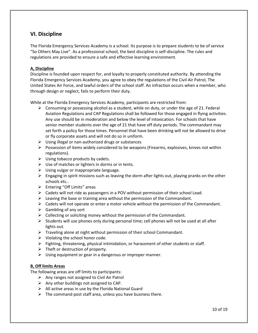## **VI. Discipline**

The Florida Emergency Services Academy is a school. Its purpose is to prepare students to be of service "So Others May Live". As a professional school, the best discipline is self-discipline. The rules and regulations are provided to ensure a safe and effective learning environment.

#### **A, Discipline**

Discipline is founded upon respect for, and loyalty to properly constituted authority. By attending the Florida Emergency Services Academy, you agree to obey the regulations of the Civil Air Patrol, The United States Air Force, and lawful orders of the school staff. An infraction occurs when a member, who through design or neglect, fails to perform their duty.

While at the Florida Emergency Services Academy, participants are restricted from:

- $\triangleright$  Consuming or possessing alcohol as a student, while on duty, or under the age of 21. Federal Aviation Regulations and CAP Regulations shall be followed for those engaged in flying activities. Any use should be in moderation and below the level of intoxication. For schools that have senior member students over the age of 21 that have off duty periods. The commandant may set forth a policy for those times. Personnel that have been drinking will not be allowed to drive or fly corporate assets and will not do so in uniform.
- $\triangleright$  Using illegal or nan-authorized drugs or substances
- $\triangleright$  Possession of items widely considered to be weapons (Firearms, explosives, knives not within regulations).
- $\triangleright$  Using tobacco products by cadets.
- $\triangleright$  Use of matches or lighters in dorms or in tents.
- $\triangleright$  Using vulgar or inappropriate language.
- $\triangleright$  Engaging in spirit missions such as leaving the dorm after lights out, playing pranks on the other schools etc..
- $\triangleright$  Entering "Off Limits" areas
- Cadets will not ride as passengers in a POV without permission of their school Lead.
- $\triangleright$  Leaving the base or training area without the permission of the Commandant.
- $\triangleright$  Cadets will not operate or enter a motor vehicle without the permission of the Commandant.
- $\triangleright$  Gambling of any sort
- $\triangleright$  Collecting or soliciting money without the permission of the Commandant.
- $\triangleright$  Students will use phones only during personal time; cell phones will not be used at all after lights out.
- $\triangleright$  Traveling alone at night without permission of their school Commandant.
- $\triangleright$  Violating the school honor code.
- $\triangleright$  Fighting, threatening, physical intimidation, or harassment of other students or staff.
- $\triangleright$  Theft or destruction of property.
- $\triangleright$  Using equipment or gear in a dangerous or improper manner.

#### **B, Off limits Areas**

The following areas are off limits to participants:

- $\triangleright$  Any ranges not assigned to Civil Air Patrol
- $\triangleright$  Any other buildings not assigned to CAP.
- $\triangleright$  All active areas in use by the Florida National Guard
- $\triangleright$  The command post staff area, unless you have business there.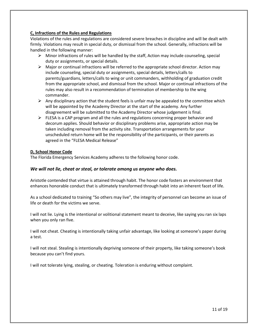#### **C, Infractions of the Rules and Regulations**

Violations of the rules and regulations are considered severe breaches in discipline and will be dealt with firmly. Violations may result in special duty, or dismissal from the school. Generally, infractions will be handled in the following manner:

- $\triangleright$  Minor infractions of rules will be handled by the staff, Action may include counseling, special duty or assignments, or special details.
- $\triangleright$  Major or continual infractions will be referred to the appropriate school director. Action may include counseling, special duty or assignments, special details, letters/calls to parents/guardians, letters/calls to wing or unit commanders, withholding of graduation credit from the appropriate school, and dismissal from the school. Major or continual infractions of the rules may also result in a recommendation of termination of membership to the wing commander.
- $\triangleright$  Any disciplinary action that the student feels is unfair may be appealed to the committee which will be appointed by the Academy Director at the start of the academy. Any further disagreement will be submitted to the Academy Director whose judgement is final.
- $\triangleright$  FLESA is a CAP program and all the rules and regulations concerning proper behavior and decorum applies. Should behavior or disciplinary problems arise, appropriate action may be taken including removal from the activity site. Transportation arrangements for your unscheduled return home will be the responsibility of the participants, or their parents as agreed in the "FLESA Medical Release"

#### **D, School Honor Code**

The Florida Emergency Services Academy adheres to the following honor code.

#### *We will not lie, cheat or steal, or tolerate among us anyone who does.*

Aristotle contended that virtue is attained through habit. The honor code fosters an environment that enhances honorable conduct that is ultimately transformed through habit into an inherent facet of life.

As a school dedicated to training "So others may live", the integrity of personnel can become an issue of life or death for the victims we serve.

I will not lie. Lying is the intentional or volitional statement meant to deceive, like saying you ran six laps when you only ran five.

I will not cheat. Cheating is intentionally taking unfair advantage, like looking at someone's paper during a test.

I will not steal. Stealing is intentionally depriving someone of their property, like taking someone's book because you can't find yours.

I will not tolerate lying, stealing, or cheating. Toleration is enduring without complaint.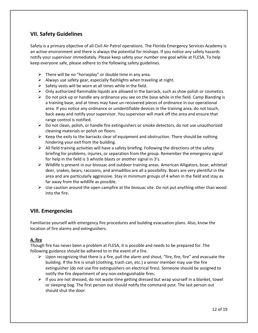## **VII. Safety Guidelines**

Safety is a primary objective of all Civil Air Patrol operations. The Florida Emergency Services Academy is an active environment and there is always the potential for mishaps. If you notice any safety hazards notify your supervisor immediately. Please keep safety your number one goal while at FLESA. To help keep everyone safe, please adhere to the following safety guidelines.

- $\triangleright$  There will be no "horseplay" or double time in any area.
- $\triangleright$  Always use safety gear, especially flashlights when traveling at night.
- $\triangleright$  Safety vests will be worn at all times while in the field.
- $\triangleright$  Only authorized flammable liquids are allowed in the barrack, such as shoe polish or cosmetics.
- $\triangleright$  Do not pick up or handle any ordinance you see on the base while in the field. Camp Blanding is a training base, and at times may have un-recovered pieces of ordinance in our operational area. If you notice any ordinance or unidentifiable devices in the training area, do not touch, back away and notify your supervisor. You supervisor will mark off the area and ensure that range control is notified.
- $\triangleright$  Do not clean, polish, or handle fire extinguishers or smoke detectors, do not use unauthorized cleaning materials or polish on floors.
- $\triangleright$  Keep the exits to the barracks clear of equipment and obstruction. There should be nothing hindering your exit from the building.
- $\triangleright$  All field training activities will have a safety briefing. Following the directions of the safety briefing for problems, injuries, or separation from the group. Remember the emergency signal for help in the field is 3 whistle blasts or another signal in 3's.
- $\triangleright$  Wildlife is present in our bivouac and outdoor training areas. American Alligators, boar, whitetail deer, snakes, bears, raccoons, and armadillos are all a possibility. Boars are very plentiful in the area and are particularly aggressive. Stay in minimum groups of 4 when in the field and stay as far away from the wildlife as possible.
- $\triangleright$  Use caution around the open campfire at the bivouac site. Do not put anything other than wood into the fire.

### **VIII. Emergencies**

Familiarize yourself with emergency fire procedures and building evacuation plans. Also, know the location of fire alarms and extinguishers.

#### **A, fire**

Though fire has never been a problem at FLESA, it is possible and needs to be prepared for. The following guidance should be adhered to in the event of a fire.

- $\triangleright$  Upon recognizing that there is a fire, pull the alarm and shout, "fire, fire, fire" and evacuate the building. If the fire is small (clothing, trash can, etc.) a senior member may use the fire extinguisher (do not use fire extinguishers on electrical fires). Someone should be assigned to notify the fire department of any non-extinguishable fires.
- $\triangleright$  If you are not dressed, do not waste time getting dressed but wrap yourself in a blanket, towel or sleeping bag. The first person out should notify the command post. The last person out should shut the door.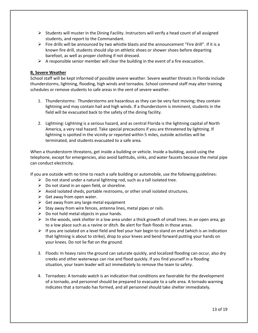- $\triangleright$  Students will muster in the Dining Facility. Instructors will verify a head count of all assigned students, and report to the Commandant.
- $\triangleright$  Fire drills will be announced by two whistle blasts and the announcement "Fire drill". If it is a known fire drill, students should slip on athletic shoes or shower shoes before departing barefoot, as well as proper clothing if not dressed.
- $\triangleright$  A responsible senior member will clear the building in the event of a fire evacuation.

#### **B, Severe Weather**

School staff will be kept informed of possible severe weather. Severe weather threats in Florida include thunderstorms, lightning, flooding, high winds and tornados. School command staff may alter training schedules or remove students to safe areas in the vent of severe weather.

- 1. Thunderstorms: Thunderstorms are hazardous as they can be very fast moving; they contain lightning and may contain hail and high winds. If a thunderstorm is imminent, students in the field will be evacuated back to the safety of the dining facility.
- 2. Lightning: Lightning is a serious hazard, and as central Florida is the lightning capital of North America, a very real hazard. Take special precautions if you are threatened by lightning. If lightning is spotted in the vicinity or reported within 5 miles, outside activities will be terminated, and students evacuated to a safe area.

When a thunderstorm threatens, get inside a building or vehicle. Inside a building, avoid using the telephone, except for emergencies, also avoid bathtubs, sinks, and water faucets because the metal pipe can conduct electricity.

If you are outside with no time to reach a safe building or automobile, use the following guidelines:

- $\triangleright$  Do not stand under a natural lightning rod, such as a tall isolated tree.
- $\triangleright$  Do not stand in an open field, or shoreline.
- $\triangleright$  Avoid isolated sheds, portable restrooms, or other small isolated structures.
- $\triangleright$  Get away from open water.
- $\triangleright$  Get away from any large metal equipment
- $\triangleright$  Stay away from wire fences, antenna lines, metal pipes or rails.
- $\triangleright$  Do not hold metal objects in your hands.
- $\triangleright$  In the woods, seek shelter in a low area under a thick growth of small trees. In an open area, go to a low place such as a ravine or ditch. Be alert for flash floods in those areas.
- $\triangleright$  If you are isolated on a level field and feel your hair begin to stand on end (which is an indication that lightning is about to strike), drop to your knees and bend forward putting your hands on your knees. Do not lie flat on the ground.
- 3. Floods: In heavy rains the ground can saturate quickly, and localized flooding can occur, also dry creeks and other waterways can rise and flood quickly. If you find yourself in a flooding situation, your team leader will act immediately to remove the team to safety.
- 4. Tornadoes: A tornado watch is an indication that conditions are favorable for the development of a tornado, and personnel should be prepared to evacuate to a safe area. A tornado warning indicates that a tornado has formed, and all personnel should take shelter immediately.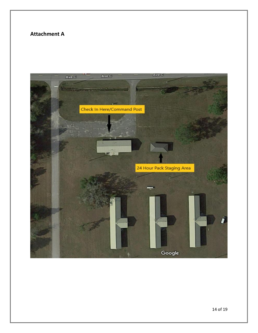## **Attachment A**

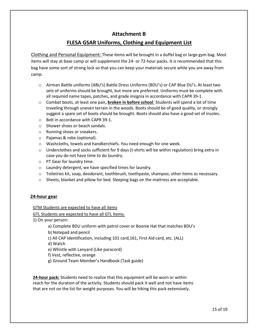## **Attachment B**

## **FLESA GSAR Uniforms, Clothing and Equipment List**

Clothing and Personal Equipment: These items will be brought in a duffel bag or large gym bag. Most items will stay at base camp or will supplement the 24- or 72-hour packs. It is recommended that this bag have some sort of strong lock so that you can keep your materials secure while you are away from camp.

- o Airman Battle uniforms (ABU's) Battle Dress Uniforms (BDU's) or CAP Blue DU's. At least two sets of uniforms should be brought, but more are preferred. Uniforms must be complete with all required name tapes, patches, and grade insignia in accordance with CAPR 39-1
- o Combat boots, at least one pair**, broken in before school**. Students will spend a lot of time traveling through uneven terrain in the woods. Boots should be of good quality, or strongly suggest a spare set of boots should be brought. Boots should also have a good set of insoles.
- o Belt in accordance with CAPR 39-1.
- o Shower shoes or beach sandals.
- o Running shoes or sneakers.
- o Pajamas & robe (optional).
- o Washcloths, towels and handkerchiefs. You need enough for one week.
- o Underclothes and socks sufficient for 9 days (t-shirts will be within regulation) bring extra in case you do not have time to do laundry.
- o PT Gear for laundry time.
- o Laundry detergent, we have specified times for laundry.
- $\circ$  Toiletries kit, soap, deodorant, toothbrush, toothpaste, shampoo, other items as necessary.
- o Sheets, blanket and pillow for bed. Sleeping bags on the mattress are acceptable.

#### **24-hour gear**

GTM Students are expected to have all items

GTL Students are expected to have all GTL Items.

- 1) On your person:
	- a) Complete BDU uniform with patrol cover or Boonie Hat that matches BDU's
	- b) Notepad and pencil
	- c) All CAP Identification, including 101 card,161, First Aid card, etc. (ALL)
	- d) Watch
	- e) Whistle with Lanyard (Like paracord)
	- f) Vest, reflective, orange
	- g) Ground Team Member's Handbook (Task guide)

**24-hour pack:** Students need to realize that this equipment will be worn or within reach for the duration of the activity. Students should pack it well and not have items that are not on the list for weight purposes. You will be hiking this pack extensively.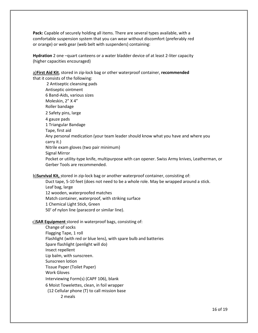**Pack:** Capable of securely holding all items. There are several types available, with a comfortable suspension system that you can wear without discomfort (preferably red or orange) or web gear (web belt with suspenders) containing:

**Hydration** 2 one –quart canteens or a water bladder device of at least 2-liter capacity (higher capacities encouraged)

a)**First Aid Kit**, stored in zip-lock bag or other waterproof container, **recommended** that it consists of the following:

2 Antiseptic cleansing pads Antiseptic ointment 6 Band-Aids, various sizes Moleskin, 2" X 4" Roller bandage 2 Safety pins, large 4 gauze pads 1 Triangular Bandage Tape, first aid Any personal medication (your team leader should know what you have and where you carry it.) Nitrile exam gloves (two pair minimum) Signal Mirror Pocket or utility-type knife, multipurpose with can opener. Swiss Army knives, Leatherman, or Gerber Tools are recommended.

b)**Survival Kit,** stored in zip-lock bag or another waterproof container, consisting of:

Duct tape, 5-10 feet (does not need to be a whole role. May be wrapped around a stick. Leaf bag, large 12 wooden, waterproofed matches Match container, waterproof, with striking surface 1 Chemical Light Stick, Green 50' of nylon line (paracord or similar line).

c)**SAR Equipment** stored in waterproof bags, consisting of:

Change of socks Flagging Tape, 1 roll Flashlight (with red or blue lens), with spare bulb and batteries Spare flashlight (penlight will do) Insect repellent Lip balm, with sunscreen. Sunscreen lotion Tissue Paper (Toilet Paper) Work Gloves Interviewing Form(s) (CAPF 106), blank 6 Moist Towelettes, clean, in foil wrapper (12 Cellular phone (T) to call mission base 2 meals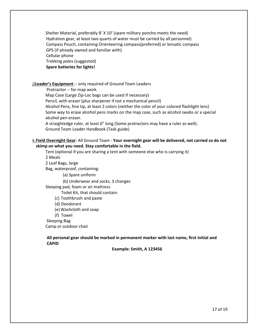Shelter Material, preferably 8' X 10' (spare military poncho meets the need) Hydration gear, at least two quarts of water must be carried by all personnel) Compass Pouch, containing Orienteering compass(preferred) or lensatic compass GPS (if already owned and familiar with) Cellular phone Trekking poles (suggested) **Spare batteries for lights!**

j)**Leader's Equipment** -- only required of Ground Team Leaders

Protractor -- for map work.

Map Case (Large Zip-Loc bags can be used if necessary)

Pencil, with eraser (plus sharpener if not a mechanical pencil)

Alcohol Pens, fine tip, at least 2 colors (neither the color of your colored flashlight lens) Some way to erase alcohol pens marks on the map case, such as alcohol swabs or a special alcohol pen eraser.

A straightedge ruler, at least 6" long (Some protractors may have a ruler as well). Ground Team Leader Handbook (Task guide)

#### k.**Field Overnight Gear**: All Ground Team - **Your overnight gear will be delivered, not carried so do not skimp on what you need. Stay comfortable in the field.**

Tent (optional if you are sharing a tent with someone else who is carrying it) 2 Meals 2 Leaf Bags, large

Bag, waterproof, containing:

(a) Spare uniform

(b) Underwear and socks, 3 changes

Sleeping pad, foam or air mattress

Toilet Kit, that should contain:

(c) Toothbrush and paste

(d) Deodorant

(e)Washcloth and soap

(f) Towel

Sleeping Bag

Camp or outdoor chair

**All personal gear should be marked in permanent marker with last name, first initial and CAPID**

**Example: Smith, A 123456**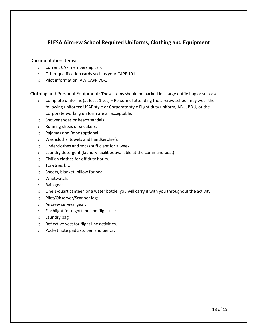## **FLESA Aircrew School Required Uniforms, Clothing and Equipment**

#### Documentation items:

- o Current CAP membership card
- o Other qualification cards such as your CAPF 101
- o Pilot information IAW CAPR 70-1

Clothing and Personal Equipment: These items should be packed in a large duffle bag or suitcase.

- o Complete uniforms (at least 1 set) Personnel attending the aircrew school may wear the following uniforms: USAF style or Corporate style Flight duty uniform, ABU, BDU, or the Corporate working uniform are all acceptable.
- o Shower shoes or beach sandals.
- o Running shoes or sneakers.
- o Pajamas and Robe (optional)
- o Washcloths, towels and handkerchiefs
- o Underclothes and socks sufficient for a week.
- o Laundry detergent (laundry facilities available at the command post).
- o Civilian clothes for off duty hours.
- o Toiletries kit.
- o Sheets, blanket, pillow for bed.
- o Wristwatch.
- o Rain gear.
- $\circ$  One 1-quart canteen or a water bottle, you will carry it with you throughout the activity.
- o Pilot/Observer/Scanner logs.
- o Aircrew survival gear.
- o Flashlight for nighttime and flight use.
- o Laundry bag.
- o Reflective vest for flight line activities.
- o Pocket note pad 3x5, pen and pencil.